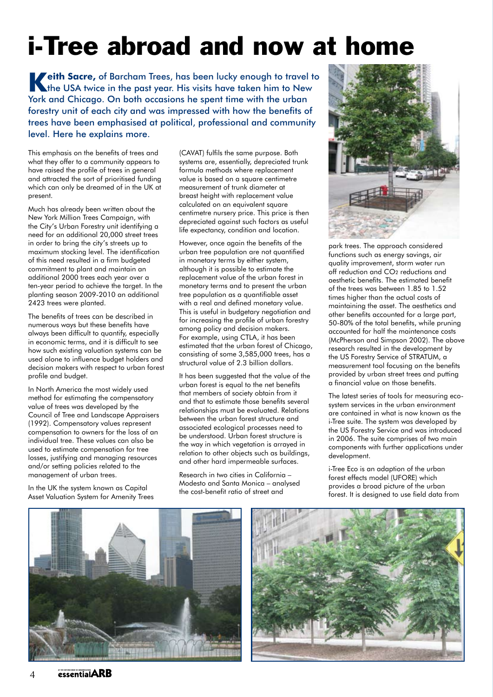## i-Tree abroad and now at home

**Keith Sacre,** of Barcham Trees, has been lucky enough to travel to the USA twice in the past year. His visits have taken him to New York and Chicago. On both occasions he spent time with the urban forestry unit of each city and was impressed with how the benefits of trees have been emphasised at political, professional and community level. Here he explains more.

This emphasis on the benefits of trees and what they offer to a community appears to have raised the profile of trees in general and attracted the sort of prioritised funding which can only be dreamed of in the UK at present.

Much has already been written about the New York Million Trees Campaign, with the City's Urban Forestry unit identifying a need for an additional 20,000 street trees in order to bring the city's streets up to maximum stocking level. The identification of this need resulted in a firm budgeted commitment to plant and maintain an additional 2000 trees each year over a ten-year period to achieve the target. In the planting season 2009-2010 an additional 2423 trees were planted.

The benefits of trees can be described in numerous ways but these benefits have always been difficult to quantify, especially in economic terms, and it is difficult to see how such existing valuation systems can be used alone to influence budget holders and decision makers with respect to urban forest profile and budget.

In North America the most widely used method for estimating the compensatory value of trees was developed by the Council of Tree and Landscape Appraisers (1992). Compensatory values represent compensation to owners for the loss of an individual tree. These values can also be used to estimate compensation for tree losses, justifying and managing resources and/or setting policies related to the management of urban trees.

In the UK the system known as Capital Asset Valuation System for Amenity Trees (CAVAT) fulfils the same purpose. Both systems are, essentially, depreciated trunk formula methods where replacement value is based on a square centimetre measurement of trunk diameter at breast height with replacement value calculated on an equivalent square centimetre nursery price. This price is then depreciated against such factors as useful life expectancy, condition and location.

However, once again the benefits of the urban tree population are not quantified in monetary terms by either system, although it is possible to estimate the replacement value of the urban forest in monetary terms and to present the urban tree population as a quantifiable asset with a real and defined monetary value. This is useful in budgetary negotiation and for increasing the profile of urban forestry among policy and decision makers. For example, using CTLA, it has been estimated that the urban forest of Chicago, consisting of some 3,585,000 trees, has a structural value of 2.3 billion dollars.

It has been suggested that the value of the urban forest is equal to the net benefits that members of society obtain from it and that to estimate those benefits several relationships must be evaluated. Relations between the urban forest structure and associated ecological processes need to be understood. Urban forest structure is the way in which vegetation is arrayed in relation to other objects such as buildings, and other hard impermeable surfaces.

Research in two cities in California – Modesto and Santa Monica – analysed the cost-benefit ratio of street and



park trees. The approach considered functions such as energy savings, air quality improvement, storm water run off reduction and CO2 reductions and aesthetic benefits. The estimated benefit of the trees was between 1.85 to 1.52 times higher than the actual costs of maintaining the asset. The aesthetics and other benefits accounted for a large part, 50-80% of the total benefits, while pruning accounted for half the maintenance costs (McPherson and Simpson 2002). The above research resulted in the development by the US Forestry Service of STRATUM, a measurement tool focusing on the benefits provided by urban street trees and putting a financial value on those benefits.

The latest series of tools for measuring ecosystem services in the urban environment are contained in what is now known as the i-Tree suite. The system was developed by the US Forestry Service and was introduced in 2006. The suite comprises of two main components with further applications under development.

i-Tree Eco is an adaption of the urban forest effects model (UFORE) which provides a broad picture of the urban forest. It is designed to use field data from